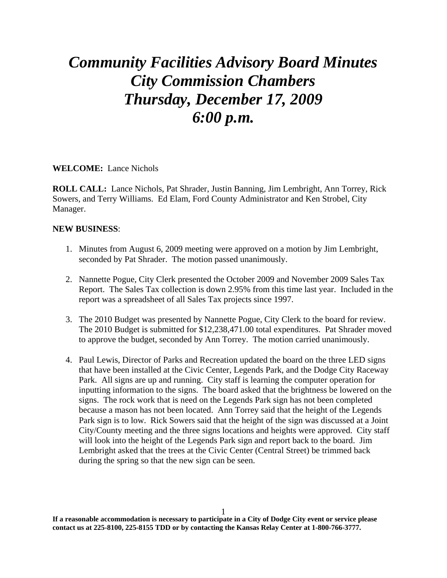## *Community Facilities Advisory Board Minutes City Commission Chambers Thursday, December 17, 2009 6:00 p.m.*

**WELCOME:** Lance Nichols

**ROLL CALL:** Lance Nichols, Pat Shrader, Justin Banning, Jim Lembright, Ann Torrey, Rick Sowers, and Terry Williams. Ed Elam, Ford County Administrator and Ken Strobel, City Manager.

## **NEW BUSINESS**:

- 1. Minutes from August 6, 2009 meeting were approved on a motion by Jim Lembright, seconded by Pat Shrader. The motion passed unanimously.
- 2. Nannette Pogue, City Clerk presented the October 2009 and November 2009 Sales Tax Report. The Sales Tax collection is down 2.95% from this time last year. Included in the report was a spreadsheet of all Sales Tax projects since 1997.
- 3. The 2010 Budget was presented by Nannette Pogue, City Clerk to the board for review. The 2010 Budget is submitted for \$12,238,471.00 total expenditures. Pat Shrader moved to approve the budget, seconded by Ann Torrey. The motion carried unanimously.
- 4. Paul Lewis, Director of Parks and Recreation updated the board on the three LED signs that have been installed at the Civic Center, Legends Park, and the Dodge City Raceway Park. All signs are up and running. City staff is learning the computer operation for inputting information to the signs. The board asked that the brightness be lowered on the signs. The rock work that is need on the Legends Park sign has not been completed because a mason has not been located. Ann Torrey said that the height of the Legends Park sign is to low. Rick Sowers said that the height of the sign was discussed at a Joint City/County meeting and the three signs locations and heights were approved. City staff will look into the height of the Legends Park sign and report back to the board. Jim Lembright asked that the trees at the Civic Center (Central Street) be trimmed back during the spring so that the new sign can be seen.